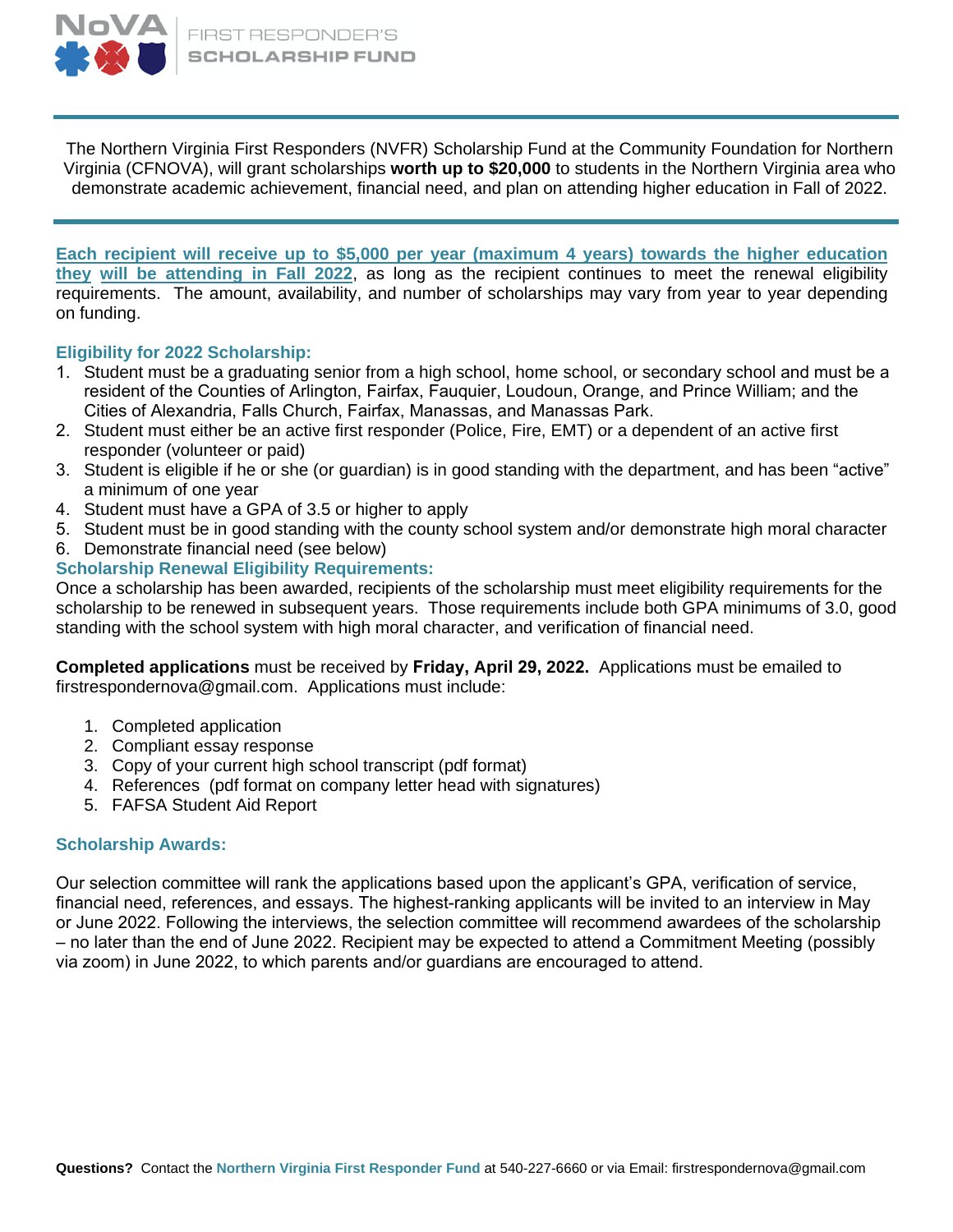

The Northern Virginia First Responders (NVFR) Scholarship Fund at the Community Foundation for Northern Virginia (CFNOVA), will grant scholarships **worth up to \$20,000** to students in the Northern Virginia area who demonstrate academic achievement, financial need, and plan on attending higher education in Fall of 2022.

**Each recipient will receive up to \$5,000 per year (maximum 4 years) towards the higher education they will be attending in Fall 2022**, as long as the recipient continues to meet the renewal eligibility requirements. The amount, availability, and number of scholarships may vary from year to year depending on funding.

## **Eligibility for 2022 Scholarship:**

- 1. Student must be a graduating senior from a high school, home school, or secondary school and must be a resident of the Counties of Arlington, Fairfax, Fauquier, Loudoun, Orange, and Prince William; and the Cities of Alexandria, Falls Church, Fairfax, Manassas, and Manassas Park.
- 2. Student must either be an active first responder (Police, Fire, EMT) or a dependent of an active first responder (volunteer or paid)
- 3. Student is eligible if he or she (or guardian) is in good standing with the department, and has been "active" a minimum of one year
- 4. Student must have a GPA of 3.5 or higher to apply
- 5. Student must be in good standing with the county school system and/or demonstrate high moral character
- 6. Demonstrate financial need (see below)

### **Scholarship Renewal Eligibility Requirements:**

Once a scholarship has been awarded, recipients of the scholarship must meet eligibility requirements for the scholarship to be renewed in subsequent years. Those requirements include both GPA minimums of 3.0, good standing with the school system with high moral character, and verification of financial need.

**Completed applications** must be received by **Friday, April 29, 2022.** Applications must be emailed to [firstrespondernova@gmail.com.](mailto:firstrespondernova@gmail.com) Applications must include:

- 1. Completed application
- 2. Compliant essay response
- 3. Copy of your current high school transcript (pdf format)
- 4. References (pdf format on company letter head with signatures)
- 5. FAFSA Student Aid Report

#### **Scholarship Awards:**

Our selection committee will rank the applications based upon the applicant's GPA, verification of service, financial need, references, and essays. The highest-ranking applicants will be invited to an interview in May or June 2022. Following the interviews, the selection committee will recommend awardees of the scholarship – no later than the end of June 2022. Recipient may be expected to attend a Commitment Meeting (possibly via zoom) in June 2022, to which parents and/or guardians are encouraged to attend.